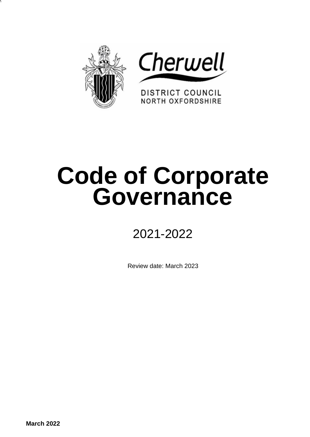



DISTRICT COUNCIL **NORTH OXFORDSHIRE** 

# **Code of Corporate Governance**

## 2021-2022

Review date: March 2023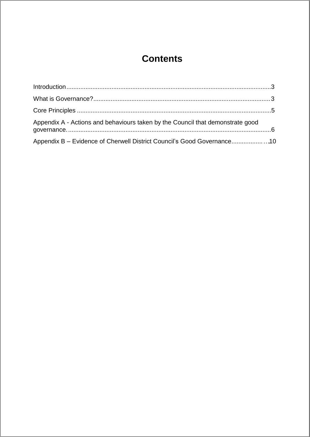### **Contents**

| Appendix A - Actions and behaviours taken by the Council that demonstrate good |  |
|--------------------------------------------------------------------------------|--|
| Appendix B - Evidence of Cherwell District Council's Good Governance10         |  |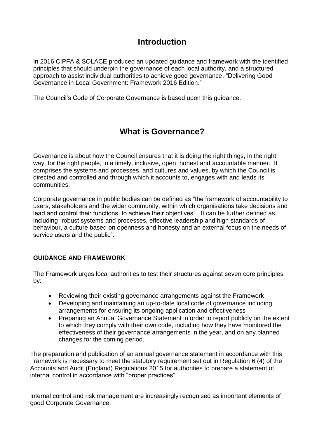#### **Introduction**

In 2016 CIPFA & SOLACE produced an updated guidance and framework with the identified principles that should underpin the governance of each local authority, and a structured approach to assist individual authorities to achieve good governance, "Delivering Good Governance in Local Government: Framework 2016 Edition."

The Council's Code of Corporate Governance is based upon this guidance.

#### **What is Governance?**

Governance is about how the Council ensures that it is doing the right things, in the right way, for the right people, in a timely, inclusive, open, honest and accountable manner. It comprises the systems and processes, and cultures and values, by which the Council is directed and controlled and through which it accounts to, engages with and leads its communities.

Corporate governance in public bodies can be defined as "the framework of accountability to users, stakeholders and the wider community, within which organisations take decisions and lead and control their functions, to achieve their objectives". It can be further defined as including "robust systems and processes, effective leadership and high standards of behaviour, a culture based on openness and honesty and an external focus on the needs of service users and the public".

#### **GUIDANCE AND FRAMEWORK**

The Framework urges local authorities to test their structures against seven core principles by:

- Reviewing their existing governance arrangements against the Framework
- Developing and maintaining an up-to-date local code of governance including arrangements for ensuring its ongoing application and effectiveness
- Preparing an Annual Governance Statement in order to report publicly on the extent to which they comply with their own code, including how they have monitored the effectiveness of their governance arrangements in the year, and on any planned changes for the coming period.

The preparation and publication of an annual governance statement in accordance with this Framework is necessary to meet the statutory requirement set out in Regulation 6 (4) of the Accounts and Audit (England) Regulations 2015 for authorities to prepare a statement of internal control in accordance with "proper practices".

Internal control and risk management are increasingly recognised as important elements of good Corporate Governance.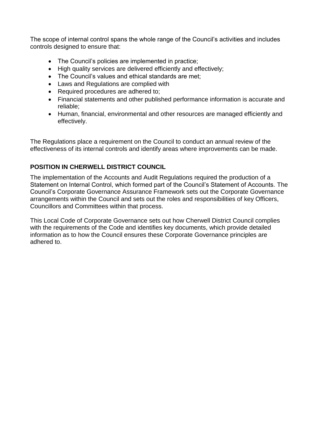The scope of internal control spans the whole range of the Council's activities and includes controls designed to ensure that:

- The Council's policies are implemented in practice;
- High quality services are delivered efficiently and effectively;
- The Council's values and ethical standards are met;
- Laws and Regulations are complied with
- Required procedures are adhered to;
- Financial statements and other published performance information is accurate and reliable;
- Human, financial, environmental and other resources are managed efficiently and effectively.

The Regulations place a requirement on the Council to conduct an annual review of the effectiveness of its internal controls and identify areas where improvements can be made.

#### **POSITION IN CHERWELL DISTRICT COUNCIL**

The implementation of the Accounts and Audit Regulations required the production of a Statement on Internal Control, which formed part of the Council's Statement of Accounts. The Council's Corporate Governance Assurance Framework sets out the Corporate Governance arrangements within the Council and sets out the roles and responsibilities of key Officers, Councillors and Committees within that process.

This Local Code of Corporate Governance sets out how Cherwell District Council complies with the requirements of the Code and identifies key documents, which provide detailed information as to how the Council ensures these Corporate Governance principles are adhered to.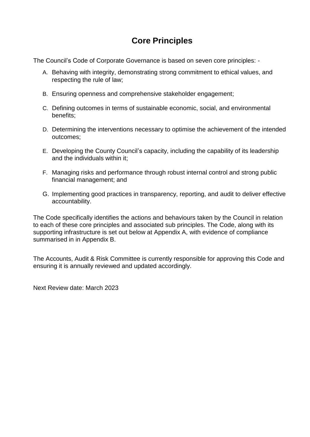#### **Core Principles**

The Council's Code of Corporate Governance is based on seven core principles: -

- A. Behaving with integrity, demonstrating strong commitment to ethical values, and respecting the rule of law;
- B. Ensuring openness and comprehensive stakeholder engagement;
- C. Defining outcomes in terms of sustainable economic, social, and environmental benefits;
- D. Determining the interventions necessary to optimise the achievement of the intended outcomes;
- E. Developing the County Council's capacity, including the capability of its leadership and the individuals within it;
- F. Managing risks and performance through robust internal control and strong public financial management; and
- G. Implementing good practices in transparency, reporting, and audit to deliver effective accountability.

The Code specifically identifies the actions and behaviours taken by the Council in relation to each of these core principles and associated sub principles. The Code, along with its supporting infrastructure is set out below at Appendix A, with evidence of compliance summarised in in Appendix B.

The Accounts, Audit & Risk Committee is currently responsible for approving this Code and ensuring it is annually reviewed and updated accordingly.

Next Review date: March 2023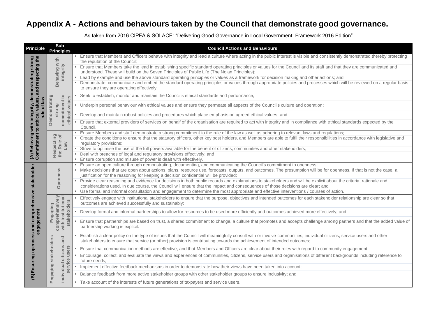### **Appendix A - Actions and behaviours taken by the Council that demonstrate good governance.**

As taken from 2016 CIPFA & SOLACE: "Delivering Good Governance in Local Government: Framework 2016 Edition"

| <b>Principle</b>                                                 | <b>Sub</b><br><b>Principles</b>                                 | <b>Council Actions and Behaviours</b>                                                                                                                                                                                                                                                                                                                                                                                                                                                                                                                                                                                                                                                                                                                                          |
|------------------------------------------------------------------|-----------------------------------------------------------------|--------------------------------------------------------------------------------------------------------------------------------------------------------------------------------------------------------------------------------------------------------------------------------------------------------------------------------------------------------------------------------------------------------------------------------------------------------------------------------------------------------------------------------------------------------------------------------------------------------------------------------------------------------------------------------------------------------------------------------------------------------------------------------|
| the<br>strong<br>and respecting<br>with integrity, demonstrating | Behaving with<br>integrity                                      | Ensure that Members and Officers behave with integrity and lead a culture where acting in the public interest is visible and consistently d<br>the reputation of the Council;<br>Ensure that Members take the lead in establishing specific standard operating principles or values for the Council and its staff and that th<br>understood. These will build on the Seven Principles of Public Life (The Nolan Principles);<br>Lead by example and use the above standard operating principles or values as a framework for decision making and other actions; and<br>Demonstrate, communicate and embed the standard operating principles or values through appropriate policies and processes which wil<br>to ensure they are operating effectively.                        |
| ues,                                                             |                                                                 | Seek to establish, monitor and maintain the Council's ethical standards and performance;                                                                                                                                                                                                                                                                                                                                                                                                                                                                                                                                                                                                                                                                                       |
| of law<br>$\overline{\mathbf{g}}$                                | commitment to<br>Demonstrating<br>ethical values<br>strong      | Underpin personal behaviour with ethical values and ensure they permeate all aspects of the Council's culture and operation;<br><b>College</b>                                                                                                                                                                                                                                                                                                                                                                                                                                                                                                                                                                                                                                 |
| rule                                                             |                                                                 | Develop and maintain robust policies and procedures which place emphasis on agreed ethical values; and                                                                                                                                                                                                                                                                                                                                                                                                                                                                                                                                                                                                                                                                         |
|                                                                  |                                                                 | Ensure that external providers of services on behalf of the organisation are required to act with integrity and in compliance with ethical sta<br>Council.                                                                                                                                                                                                                                                                                                                                                                                                                                                                                                                                                                                                                     |
| (A) Behaving with integ<br>Commitment to ethical                 | Respecting<br>$\overline{\sigma}$<br>the Rule<br>$\mathsf{Law}$ | Ensure Members and staff demonstrate a strong commitment to the rule of the law as well as adhering to relevant laws and regulations;<br>Create the conditions to ensure that the statutory officers, other key post holders, and Members are able to fulfil their responsibilities in a<br>regulatory provisions;<br>Strive to optimise the use of the full powers available for the benefit of citizens, communities and other stakeholders;<br>Deal with breaches of legal and regulatory provisions effectively; and                                                                                                                                                                                                                                                       |
|                                                                  |                                                                 | Ensure corruption and misuse of power is dealt with effectively.                                                                                                                                                                                                                                                                                                                                                                                                                                                                                                                                                                                                                                                                                                               |
| stakeholder                                                      | <b>Openness</b>                                                 | Ensure an open culture through demonstrating, documenting, and communicating the Council's commitment to openness;<br>Make decisions that are open about actions, plans, resource use, forecasts, outputs, and outcomes. The presumption will be for opennes<br>justification for the reasoning for keeping a decision confidential will be provided;<br>Provide clear reasoning and evidence for decisions in both public records and explanations to stakeholders and will be explicit about the<br>considerations used. In due course, the Council will ensure that the impact and consequences of those decisions are clear; and<br>Use formal and informal consultation and engagement to determine the most appropriate and effective interventions / courses of action. |
| hensive                                                          | ທ<br>$\ddot{\overline{6}}$<br><u>ත</u>                          | Effectively engage with institutional stakeholders to ensure that the purpose, objectives and intended outcomes for each stakeholder rela<br>outcomes are achieved successfully and sustainably;                                                                                                                                                                                                                                                                                                                                                                                                                                                                                                                                                                               |
|                                                                  | Engagin                                                         | Develop formal and informal partnerships to allow for resources to be used more efficiently and outcomes achieved more effectively; and                                                                                                                                                                                                                                                                                                                                                                                                                                                                                                                                                                                                                                        |
| (B) Ensuring openness and compre<br>engagement                   | comprehensively<br>with institutional<br>stakehold              | Ensure that partnerships are based on trust, a shared commitment to change, a culture that promotes and accepts challenge among part<br>partnership working is explicit.                                                                                                                                                                                                                                                                                                                                                                                                                                                                                                                                                                                                       |
|                                                                  | and                                                             | Establish a clear policy on the type of issues that the Council will meaningfully consult with or involve communities, individual citizens, se<br>stakeholders to ensure that service (or other) provision is contributing towards the achievement of intended outcomes;                                                                                                                                                                                                                                                                                                                                                                                                                                                                                                       |
|                                                                  | users                                                           | Ensure that communication methods are effective, and that Members and Officers are clear about their roles with regard to community er                                                                                                                                                                                                                                                                                                                                                                                                                                                                                                                                                                                                                                         |
|                                                                  | stakeholders<br>citizens                                        | Encourage, collect, and evaluate the views and experiences of communities, citizens, service users and organisations of different backgr<br>future needs;                                                                                                                                                                                                                                                                                                                                                                                                                                                                                                                                                                                                                      |
|                                                                  | service<br>individual<br>Engaging                               | Implement effective feedback mechanisms in order to demonstrate how their views have been taken into account;                                                                                                                                                                                                                                                                                                                                                                                                                                                                                                                                                                                                                                                                  |
|                                                                  |                                                                 | Balance feedback from more active stakeholder groups with other stakeholder groups to ensure inclusivity; and                                                                                                                                                                                                                                                                                                                                                                                                                                                                                                                                                                                                                                                                  |
|                                                                  |                                                                 | Take account of the interests of future generations of taxpayers and service users.<br><b>I</b>                                                                                                                                                                                                                                                                                                                                                                                                                                                                                                                                                                                                                                                                                |

stently demonstrated thereby protecting

Id that they are communicated and

which will be reviewed on a regular basis

thical standards expected by the

ities in accordance with legislative and

openness. If that is not the case, a

pout the criteria, rationale and

Ider relationship are clear so that

ong partners and that the added value of

zens, service users and other

munity engagement; It backgrounds including reference to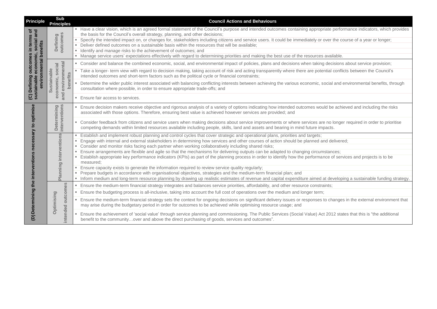| <b>Principle</b>                           | <b>Sub</b><br><b>Principles</b>                                          | <b>Council Actions and Behaviours</b>                                                                                                                                                                                                                                                                                                                                                                                                                                                                                                                                                                                                                                                |
|--------------------------------------------|--------------------------------------------------------------------------|--------------------------------------------------------------------------------------------------------------------------------------------------------------------------------------------------------------------------------------------------------------------------------------------------------------------------------------------------------------------------------------------------------------------------------------------------------------------------------------------------------------------------------------------------------------------------------------------------------------------------------------------------------------------------------------|
| ō<br>and<br>in terms<br>social<br>benefits | outcomes<br>Defining                                                     | Have a clear vision, which is an agreed formal statement of the Council's purpose and intended outcomes containing appropriate perform<br>the basis for the Council's overall strategy, planning, and other decisions;<br>Specify the intended impact on, or changes for, stakeholders including citizens and service users. It could be immediately or over the coul<br>Deliver defined outcomes on a sustainable basis within the resources that will be available;<br>Identify and manage risks to the achievement of outcomes; and<br>• Manage service users' expectations effectively with regard to determining priorities and making the best use of the resources available. |
| economic,<br>outcomes<br>environmental     | social                                                                   | • Consider and balance the combined economic, social, and environmental impact of policies, plans and decisions when taking decisions a                                                                                                                                                                                                                                                                                                                                                                                                                                                                                                                                              |
|                                            |                                                                          | Take a longer- term view with regard to decision making, taking account of risk and acting transparently where there are potential conflicts<br>intended outcomes and short-term factors such as the political cycle or financial constraints;                                                                                                                                                                                                                                                                                                                                                                                                                                       |
| (C) Defining                               | environmental<br>ustainable<br>benefits<br>economic,<br>$\bar{v}$<br>and | Determine the wider public interest associated with balancing conflicting interests between achieving the various economic, social and ent<br>consultation where possible, in order to ensure appropriate trade-offs; and                                                                                                                                                                                                                                                                                                                                                                                                                                                            |
|                                            |                                                                          | Ensure fair access to services.<br>m.                                                                                                                                                                                                                                                                                                                                                                                                                                                                                                                                                                                                                                                |
|                                            |                                                                          | Ensure decision makers receive objective and rigorous analysis of a variety of options indicating how intended outcomes would be achiev<br>associated with those options. Therefore, ensuring best value is achieved however services are provided; and                                                                                                                                                                                                                                                                                                                                                                                                                              |
|                                            | interventions<br>Determining                                             | • Consider feedback from citizens and service users when making decisions about service improvements or where services are no longer r<br>competing demands within limited resources available including people, skills, land and assets and bearing in mind future impacts.                                                                                                                                                                                                                                                                                                                                                                                                         |
| necessary to optimise                      | anning interventions                                                     | Establish and implement robust planning and control cycles that cover strategic and operational plans, priorities and targets;<br>Engage with internal and external stakeholders in determining how services and other courses of action should be planned and delivered;<br>Consider and monitor risks facing each partner when working collaboratively including shared risks;<br>Ensure arrangements are flexible and agile so that the mechanisms for delivering outputs can be adapted to changing circumstances;<br>Establish appropriate key performance indicators (KPIs) as part of the planning process in order to identify how the performance of service<br>measured;   |
| interventions                              | $\overline{\mathbf{a}}$                                                  | Ensure capacity exists to generate the information required to review service quality regularly;<br>Prepare budgets in accordance with organisational objectives, strategies and the medium-term financial plan; and<br>Inform medium and long-term resource planning by drawing up realistic estimates of revenue and capital expenditure aimed at developing                                                                                                                                                                                                                                                                                                                       |
|                                            |                                                                          | Ensure the medium-term financial strategy integrates and balances service priorities, affordability, and other resource constraints;<br>×.                                                                                                                                                                                                                                                                                                                                                                                                                                                                                                                                           |
|                                            | outcomes                                                                 | Ensure the budgeting process is all-inclusive, taking into account the full cost of operations over the medium and longer term;<br><b>College</b>                                                                                                                                                                                                                                                                                                                                                                                                                                                                                                                                    |
| (D) Determining the                        | <b>Optimising</b>                                                        | Ensure the medium-term financial strategy sets the context for ongoing decisions on significant delivery issues or responses to changes ir<br>may arise during the budgetary period in order for outcomes to be achieved while optimising resource usage; and                                                                                                                                                                                                                                                                                                                                                                                                                        |
|                                            | intended                                                                 | Ensure the achievement of 'social value' through service planning and commissioning. The Public Services (Social Value) Act 2012 states<br>benefit to the communityover and above the direct purchasing of goods, services and outcomes".                                                                                                                                                                                                                                                                                                                                                                                                                                            |

e performance indicators, which provides

r the course of a year or longer;

ecisions about service provision;

al conflicts between the Council's

al and environmental benefits, through

be achieved and including the risks

longer required in order to prioritise

of services and projects is to be

leveloping a sustainable funding strategy.

changes in the external environment that

12 states that this is "the additional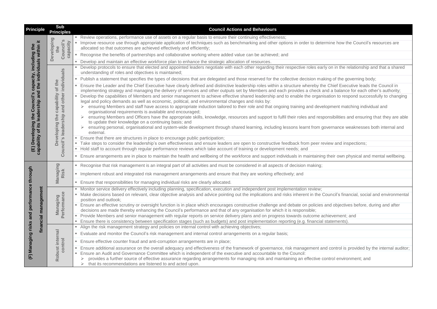| <b>Principle</b>                            | <b>Sub</b><br><b>Principles</b>                                | <b>Council Actions and Behaviours</b>                                                                                                                                                                                                                                                                                                                                                                                                                                              |
|---------------------------------------------|----------------------------------------------------------------|------------------------------------------------------------------------------------------------------------------------------------------------------------------------------------------------------------------------------------------------------------------------------------------------------------------------------------------------------------------------------------------------------------------------------------------------------------------------------------|
| .±                                          | Developing<br>Council's<br>capacity<br>the                     | Review operations, performance use of assets on a regular basis to ensure their continuing effectiveness;<br>Improve resource use through appropriate application of techniques such as benchmarking and other options in order to determine how the C<br>allocated so that outcomes are achieved effectively and efficiently;                                                                                                                                                     |
|                                             |                                                                | Recognise the benefits of partnerships and collaborative working where added value can be achieved; and                                                                                                                                                                                                                                                                                                                                                                            |
|                                             |                                                                | Develop and maintain an effective workforce plan to enhance the strategic allocation of resources.                                                                                                                                                                                                                                                                                                                                                                                 |
| capacity, including the                     |                                                                | Develop protocols to ensure that elected and appointed leaders negotiate with each other regarding their respective roles early on in the relati<br>understanding of roles and objectives is maintained;                                                                                                                                                                                                                                                                           |
|                                             |                                                                | Publish a statement that specifies the types of decisions that are delegated and those reserved for the collective decision making of the gover                                                                                                                                                                                                                                                                                                                                    |
| and the individuals within                  | individuals<br>of the<br>other                                 | Ensure the Leader and the Chief Executive have clearly defined and distinctive leadership roles within a structure whereby the Chief Executiv<br>implementing strategy and managing the delivery of services and other outputs set by Members and each provides a check and a balance for<br>Develop the capabilities of Members and senior management to achieve effective shared leadership and to enable the organisation to respone                                            |
| Council's<br>lership<br>lead                | capability<br>and<br>Council's leadership<br>the<br>Developing | legal and policy demands as well as economic, political, and environmental changes and risks by:<br>ensuring Members and staff have access to appropriate induction tailored to their role and that ongoing training and development matchir<br>$\blacktriangleright$<br>organisational requirements is available and encouraged;<br>ensuring Members and Officers have the appropriate skills, knowledge, resources and support to fulfil their roles and responsibilities and of |
| Developing the                              |                                                                | to update their knowledge on a continuing basis; and<br>ensuring personal, organisational and system-wide development through shared learning, including lessons learnt from governance weak<br>external.                                                                                                                                                                                                                                                                          |
| capability of its<br>$\widehat{\mathsf{E}}$ |                                                                | Ensure that there are structures in place to encourage public participation;<br>Take steps to consider the leadership's own effectiveness and ensure leaders are open to constructive feedback from peer review and inspec<br>Hold staff to account through regular performance reviews which take account of training or development needs; and                                                                                                                                   |
|                                             |                                                                | Ensure arrangements are in place to maintain the health and wellbeing of the workforce and support individuals in maintaining their own physi<br>٠                                                                                                                                                                                                                                                                                                                                 |
|                                             |                                                                | Recognise that risk management is an integral part of all activities and must be considered in all aspects of decision making;                                                                                                                                                                                                                                                                                                                                                     |
| through                                     | Managing<br>Risk                                               | Implement robust and integrated risk management arrangements and ensure that they are working effectively; and                                                                                                                                                                                                                                                                                                                                                                     |
|                                             |                                                                | • Ensure that responsibilities for managing individual risks are clearly allocated.                                                                                                                                                                                                                                                                                                                                                                                                |
| performance                                 | managemen<br><b>Managing</b><br>Performance<br>financial       | Monitor service delivery effectively including planning, specification, execution and independent post implementation review;<br>Make decisions based on relevant, clear objective analysis and advice pointing out the implications and risks inherent in the Council's financia<br>position and outlook;                                                                                                                                                                         |
| and                                         |                                                                | Ensure an effective scrutiny or oversight function is in place which encourages constructive challenge and debate on policies and objectives b<br>decisions are made thereby enhancing the Council's performance and that of any organisation for which it is responsible;<br>Provide Members and senior management with regular reports on service delivery plans and on progress towards outcome achievement; and                                                                |
|                                             |                                                                | Ensure there is consistency between specification stages (such as budgets) and post implementation reporting (e.g. financial statements).<br>Align the risk management strategy and policies on internal control with achieving objectives;                                                                                                                                                                                                                                        |
|                                             |                                                                | Evaluate and monitor the Council's risk management and internal control arrangements on a regular basis;<br><b>College</b>                                                                                                                                                                                                                                                                                                                                                         |
|                                             |                                                                | Ensure effective counter fraud and anti-corruption arrangements are in place;                                                                                                                                                                                                                                                                                                                                                                                                      |
| Managing risks<br>E                         | Robust internal<br>control                                     | Ensure additional assurance on the overall adequacy and effectiveness of the framework of governance, risk management and control is prov<br>Ensure an Audit and Governance Committee which is independent of the executive and accountable to the Council:<br>provides a further source of effective assurance regarding arrangements for managing risk and maintaining an effective control environme<br>that its recommendations are listened to and acted upon.                |

#### ine how the Council's resources are

on in the relationship and that a shared

ng of the governing body;

Chief Executive leads the Council in I a balance for each other's authority; tion to respond successfully to changing

pment matching individual and

nsibilities and ensuring that they are able

ernance weaknesses both internal and

ew and inspections;

heir own physical and mental wellbeing.

uncil's financial, social and environmental

Ind objectives before, during and after

control is provided by the internal auditor;

trol environment; and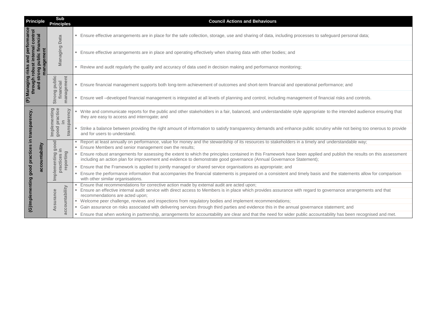| <b>Principle</b>                                       | <b>Sub</b><br><b>Principles</b>                         | <b>Council Actions and Behaviours</b>                                                                                                                                                                                                                                                        |
|--------------------------------------------------------|---------------------------------------------------------|----------------------------------------------------------------------------------------------------------------------------------------------------------------------------------------------------------------------------------------------------------------------------------------------|
| performance<br>financial                               | <b>Data</b>                                             | Ensure effective arrangements are in place for the safe collection, storage, use and sharing of data, including processes to safeguard persor                                                                                                                                                |
| and                                                    | Managing                                                | Ensure effective arrangements are in place and operating effectively when sharing data with other bodies; and                                                                                                                                                                                |
| management<br>strong public<br>risks                   |                                                         | Review and audit regularly the quality and accuracy of data used in decision making and performance monitoring;                                                                                                                                                                              |
| through robust internal control<br>(F) Managing<br>and | public<br>gement<br>financial                           | Ensure financial management supports both long-term achievement of outcomes and short-term financial and operational performance; and                                                                                                                                                        |
|                                                        | Strong<br>mana                                          | Ensure well -developed financial management is integrated at all levels of planning and control, including management of financial risks and                                                                                                                                                 |
|                                                        | nplementing<br>ood practice<br>transparency<br>$\equiv$ | Write and communicate reports for the public and other stakeholders in a fair, balanced, and understandable style appropriate to the intende<br>they are easy to access and interrogate; and                                                                                                 |
| practices in transparency,                             | good<br>$\overline{m}$                                  | Strike a balance between providing the right amount of information to satisfy transparency demands and enhance public scrutiny while not b<br>and for users to understand.                                                                                                                   |
|                                                        | <u>s</u><br>$\circ$<br><u>ත</u>                         | Report at least annually on performance, value for money and the stewardship of its resources to stakeholders in a timely and understandab<br>Ensure Members and senior management own the results;                                                                                          |
| accountability                                         | $\equiv$<br>reporting<br>mplementing<br>practices       | Ensure robust arrangements for assessing the extent to which the principles contained in this Framework have been applied and publish the<br>including an action plan for improvement and evidence to demonstrate good governance (Annual Governance Statement);                             |
| good                                                   |                                                         | Ensure that the Framework is applied to jointly managed or shared service organisations as appropriate; and                                                                                                                                                                                  |
| ත                                                      |                                                         | Ensure the performance information that accompanies the financial statements is prepared on a consistent and timely basis and the stateme<br>with other similar organisations.                                                                                                               |
| (G)Implementi                                          | accountability<br>ssurance                              | Ensure that recommendations for corrective action made by external audit are acted upon;<br>Ensure an effective internal audit service with direct access to Members is in place which provides assurance with regard to governance arra<br>recommendations are acted upon;                  |
|                                                        |                                                         | Welcome peer challenge, reviews and inspections from regulatory bodies and implement recommendations;                                                                                                                                                                                        |
|                                                        | ⋖                                                       | Gain assurance on risks associated with delivering services through third parties and evidence this in the annual governance statement; and<br>Ensure that when working in partnership, arrangements for accountability are clear and that the need for wider public accountability has been |
|                                                        |                                                         |                                                                                                                                                                                                                                                                                              |

guard personal data;

ial risks and controls.

ithe intended audience ensuring that

while not being too onerous to provide

nderstandable way;

publish the results on this assessment

the statements allow for comparison

ernance arrangements and that

ility has been recognised and met.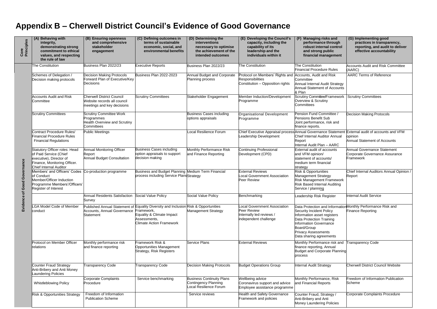### **Appendix B – Cherwell District Council's Evidence of Good Governance**

| Core<br>Principles | (A) Behaving with<br>integrity,<br>demonstrating strong<br>commitment to ethical<br>values, and respecting<br>the rule of law                          | (B) Ensuring openness<br>and comprehensive<br>stakeholder<br>engagement                           | (C) Defining outcomes in<br>terms of sustainable<br>economic, social, and<br>environmental benefits                                                                 | (D) Determining the<br>interventions<br>necessary to optimise<br>the achievement of the<br>intended outcomes | (E) Developing the Council's<br>capacity, including the<br>capability of its<br>leadership and the<br>individuals within it | (F) Managing risks and<br>performance through<br>robust internal control<br>and strong public<br>financial management                                                                        | (G) Implementing good<br>practices in transparency,<br>reporting, and audit to deliver<br>effective accountability |
|--------------------|--------------------------------------------------------------------------------------------------------------------------------------------------------|---------------------------------------------------------------------------------------------------|---------------------------------------------------------------------------------------------------------------------------------------------------------------------|--------------------------------------------------------------------------------------------------------------|-----------------------------------------------------------------------------------------------------------------------------|----------------------------------------------------------------------------------------------------------------------------------------------------------------------------------------------|--------------------------------------------------------------------------------------------------------------------|
| of Good Governance | The Constitution                                                                                                                                       | Business Plan 2022/23                                                                             | <b>Executive Reports</b>                                                                                                                                            | Business Plan 2022/23                                                                                        | <b>The Constitution</b>                                                                                                     | The Constitution<br><b>Financial Procedure Rules</b>                                                                                                                                         | <b>Accounts Audit and Risk Committee</b><br>(AARC)                                                                 |
|                    | Schemes of Delegation /<br>Decision making protocols                                                                                                   | <b>Decision Making Protocols</b><br>Forward Plan of Executive/Key<br>Decisions                    | Business Plan 2022-2023                                                                                                                                             | Annual Budget and Corporate<br>Planning process                                                              | Protocol on Members' Rights and<br><b>Responsibilities</b><br>Constitution - Opposition rights                              | Accounts, Audit and Risk<br>Committee<br>Annual Internal Audit Strategy<br><b>Annual Statement of Accounts</b><br>& Plan                                                                     | <b>AARC Terms of Reference</b>                                                                                     |
|                    | <b>Accounts Audit and Risk</b><br>Committee                                                                                                            | <b>Cherwell District Council</b><br>Website records all council<br>meetings and key decisions     | <b>Scrutiny Committees</b>                                                                                                                                          | Stakeholder Engagement                                                                                       | Member Induction/Development<br>Programme                                                                                   | Scrutiny Committee/Framework<br>Overview & Scrutiny<br>Committees                                                                                                                            | <b>Scrutiny Committees</b>                                                                                         |
|                    | <b>Scrutiny Committees</b>                                                                                                                             | <b>Scrutiny Committee Work</b><br>Programmes<br><b>Health Overview and Scrutiny</b><br>Committees |                                                                                                                                                                     | <b>Business Cases including</b><br>options appraisals                                                        | Organisational Development<br>Programme                                                                                     | Pension Fund Committee /<br>Pensions Benefit Sub<br>Joint performance, risk and<br>finance reports.                                                                                          | <b>Decision Making Protocols</b>                                                                                   |
|                    | Contract Procedure Rules/<br><b>Financial Procedure Rules</b><br><b>Financial Regulations</b>                                                          | Public Meetings                                                                                   |                                                                                                                                                                     | <b>Local Resilience Forum</b>                                                                                | Chief Executive Appraisal process<br>Leadership Development                                                                 | <b>Annual Governance Statement</b><br><b>Chief Internal Auditor Annual</b><br>Report<br><b>Internal Audit Plan - AARC</b>                                                                    | External audit of accounts and VFM<br>opinion<br><b>Annual Statement of Accounts</b>                               |
|                    | Statutory Officer roles: Head<br>of Paid Service (Chief<br>executive), Director of<br>Finance, Monitoring Officer.<br>Chief Internal Auditor           | <b>Annual Monitoring Officer</b><br>Report<br><b>Annual Budget Consultation</b>                   | <b>Business Cases including</b><br>option appraisals to support<br>decision making                                                                                  | Monthly Performance Risk<br>and Finance Reporting                                                            | <b>Continuing Professional</b><br>Development (CPD)                                                                         | <b>External audit of accounts</b><br>and VFM opinion/<br>statement of accounts/<br>medium term financial<br>strategy                                                                         | Annual Governance Statement<br>Corporate Governance Assurance<br>Framework                                         |
|                    | Members' and Officers' Codes Co-production programme<br>of Conduct<br>Member/Officer Induction<br>Programme Members'/Officers'<br>Register of Interest |                                                                                                   | Business and Budget Planning Medium Term Financial<br>process including Service PlansStrategy                                                                       |                                                                                                              | <b>External Reviews</b><br><b>Local Government Association</b><br>Peer Review                                               | <b>Risk &amp; Opportunities</b><br>Management Strategy<br><b>Risk Management Framework</b><br><b>Risk Based Internal Auditing</b><br>Service / planning                                      | Chief Internal Auditors Annual Opinion /<br>Report                                                                 |
| ဗ္ထ                |                                                                                                                                                        | Annual Residents Satisfaction Social Value Policy<br>Survey                                       |                                                                                                                                                                     | Social Value Policy                                                                                          | Benchmarking                                                                                                                | eadership Risk Register                                                                                                                                                                      | <b>Internal Audit Service</b>                                                                                      |
| Evidenc            | LGA Model Code of Member<br>conduct                                                                                                                    | Accounts, Annual Governance Framework,<br>Statement                                               | Published Annual Statement of Equality Diversity and Inclusion Risk & Opportunities<br>Equality & Climate Impact<br>Assessments,<br><b>Climate Action Framework</b> | <b>Management Strategy</b>                                                                                   | <b>Local Government Association</b><br>Peer Review<br>Internally led reviews /<br>independent challenge                     | Security Incident Policy<br>Information asset registers<br>Data Protection Training<br><b>Information Governance</b><br>Board/Group<br><b>Privacy Assessments</b><br>Data sharing agreements | Data Protection and Information Monthly Performance Risk and<br>Finance Reporting                                  |
|                    | Protocol on Member Officer<br><b>relations</b>                                                                                                         | Monthly performance risk<br>and finance reporting                                                 | Framework Risk &<br>Opportunities Management<br>Strategy, Risk Registers                                                                                            | <b>Service Plans</b>                                                                                         | <b>External Reviews</b>                                                                                                     | Monthly Performance risk and<br>finance reporting, Annual<br>Budget and Corporate Planning<br>process                                                                                        | Transparency Code                                                                                                  |
|                    | Counter Fraud Strategy<br>Anti-Bribery and Anti Money<br><b>Laundering Policies</b>                                                                    | Transparency Code                                                                                 | Transparency Code                                                                                                                                                   | <b>Decision Making Protocols</b>                                                                             | <b>Budget Operations Group</b>                                                                                              | Internal Audit Strategy                                                                                                                                                                      | <b>Cherwell District Council Website</b>                                                                           |
|                    | <b>Whistleblowing Policy</b>                                                                                                                           | <b>Corporate Complaints</b><br>Procedure                                                          | Service benchmarking                                                                                                                                                | <b>Business Continuity Plans</b><br>Contingency Planning<br>Local Resilience Forum                           | Wellbeing advice<br>Coronavirus support and advice<br>Employee assistance programme                                         | Monthly Performance, Risk<br>and Financial Reports                                                                                                                                           | Freedom of Information Publication<br>Scheme                                                                       |
|                    | Risk & Opportunities Strategy                                                                                                                          | Freedom of Information<br><b>Publication Scheme</b>                                               |                                                                                                                                                                     | Service reviews                                                                                              | <b>Health and Safety Governance</b><br>Framework and policies                                                               | Counter Fraud, Strategy /<br>Anti-Bribery and Anti<br>Money Laundering Policies                                                                                                              | Corporate Complaints Procedure                                                                                     |